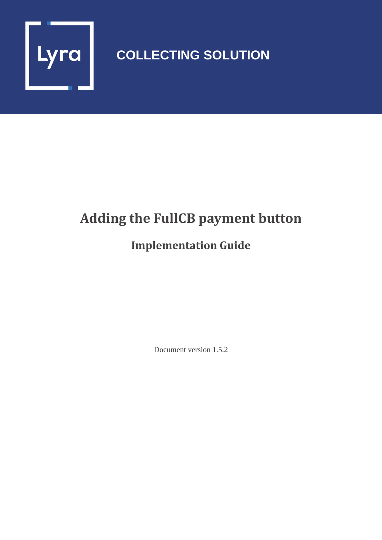

## **COLLECTING SOLUTION**

# **Adding the FullCB payment button**

## **Implementation Guide**

Document version 1.5.2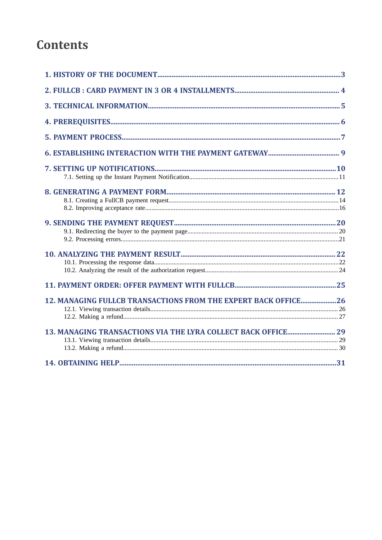## **Contents**

| 12. MANAGING FULLCB TRANSACTIONS FROM THE EXPERT BACK OFFICE26 |  |
|----------------------------------------------------------------|--|
|                                                                |  |
|                                                                |  |
|                                                                |  |
|                                                                |  |
|                                                                |  |
|                                                                |  |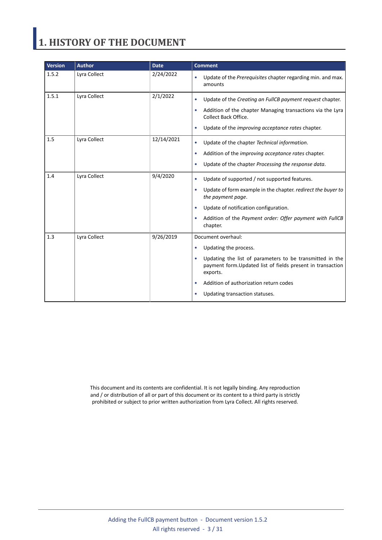# <span id="page-2-0"></span>**1. HISTORY OF THE DOCUMENT**

| <b>Version</b> | <b>Author</b> | <b>Date</b> | <b>Comment</b>                                                                                                                                                                                                                                                                                |
|----------------|---------------|-------------|-----------------------------------------------------------------------------------------------------------------------------------------------------------------------------------------------------------------------------------------------------------------------------------------------|
| 1.5.2          | Lyra Collect  | 2/24/2022   | Update of the Prerequisites chapter regarding min. and max.<br>amounts                                                                                                                                                                                                                        |
| 1.5.1          | Lyra Collect  | 2/1/2022    | Update of the Creating an FullCB payment request chapter.<br>$\bullet$<br>Addition of the chapter Managing transactions via the Lyra<br><b>Collect Back Office.</b><br>Update of the improving acceptance rates chapter.<br>$\bullet$                                                         |
| 1.5            | Lyra Collect  | 12/14/2021  | Update of the chapter Technical information.<br>Addition of the <i>improving acceptance rates</i> chapter.<br>٠<br>Update of the chapter Processing the response data.<br>$\bullet$                                                                                                           |
| 1.4            | Lyra Collect  | 9/4/2020    | Update of supported / not supported features.<br>$\bullet$<br>Update of form example in the chapter. redirect the buyer to<br>$\bullet$<br>the payment page.<br>Update of notification configuration.<br>Addition of the Payment order: Offer payment with FullCB<br>chapter.                 |
| 1.3            | Lyra Collect  | 9/26/2019   | Document overhaul:<br>Updating the process.<br>$\bullet$<br>Updating the list of parameters to be transmitted in the<br>$\bullet$<br>payment form. Updated list of fields present in transaction<br>exports.<br>Addition of authorization return codes<br>٠<br>Updating transaction statuses. |

This document and its contents are confidential. It is not legally binding. Any reproduction and / or distribution of all or part of this document or its content to a third party is strictly prohibited or subject to prior written authorization from Lyra Collect. All rights reserved.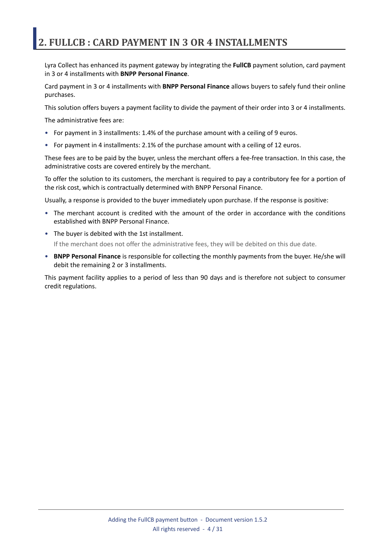## <span id="page-3-0"></span>**2. FULLCB : CARD PAYMENT IN 3 OR 4 INSTALLMENTS**

Lyra Collect has enhanced its payment gateway by integrating the **FullCB** payment solution, card payment in 3 or 4 installments with **BNPP Personal Finance**.

Card payment in 3 or 4 installments with **BNPP Personal Finance** allows buyers to safely fund their online purchases.

This solution offers buyers a payment facility to divide the payment of their order into 3 or 4 installments.

The administrative fees are:

- For payment in 3 installments: 1.4% of the purchase amount with a ceiling of 9 euros.
- For payment in 4 installments: 2.1% of the purchase amount with a ceiling of 12 euros.

These fees are to be paid by the buyer, unless the merchant offers a fee-free transaction. In this case, the administrative costs are covered entirely by the merchant.

To offer the solution to its customers, the merchant is required to pay a contributory fee for a portion of the risk cost, which is contractually determined with BNPP Personal Finance.

Usually, a response is provided to the buyer immediately upon purchase. If the response is positive:

- The merchant account is credited with the amount of the order in accordance with the conditions established with BNPP Personal Finance.
- The buyer is debited with the 1st installment.

If the merchant does not offer the administrative fees, they will be debited on this due date.

• **BNPP Personal Finance** is responsible for collecting the monthly payments from the buyer. He/she will debit the remaining 2 or 3 installments.

This payment facility applies to a period of less than 90 days and is therefore not subject to consumer credit regulations.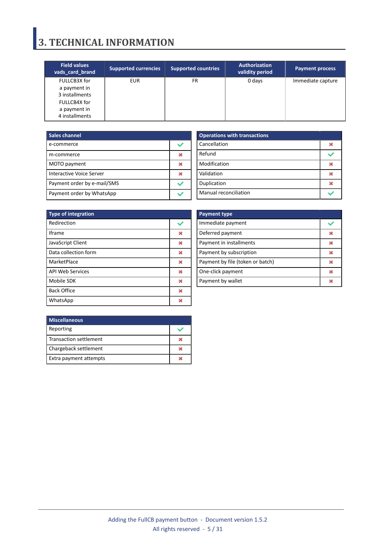## <span id="page-4-0"></span>**3. TECHNICAL INFORMATION**

| <b>Field values</b><br>vads card brand                                                           | <b>Supported currencies</b> | <b>Supported countries</b> | <b>Authorization</b><br>validity period | <b>Payment process</b> |
|--------------------------------------------------------------------------------------------------|-----------------------------|----------------------------|-----------------------------------------|------------------------|
| FULLCB3X for<br>a payment in<br>3 installments<br>FULLCB4X for<br>a payment in<br>4 installments | <b>EUR</b>                  | FR                         | 0 days                                  | Immediate capture      |

| <b>Sales channel</b>        |  |
|-----------------------------|--|
| e-commerce                  |  |
| m-commerce                  |  |
| MOTO payment                |  |
| Interactive Voice Server    |  |
| Payment order by e-mail/SMS |  |
| Payment order by WhatsApp   |  |

| <b>Operations with transactions</b> |  |
|-------------------------------------|--|
| Cancellation                        |  |
| Refund                              |  |
| Modification                        |  |
| Validation                          |  |
| Duplication                         |  |
| <b>Manual reconciliation</b>        |  |

| <b>Type of integration</b> |   |  |  |  |
|----------------------------|---|--|--|--|
| Redirection                |   |  |  |  |
| Iframe                     | ж |  |  |  |
| JavaScript Client          | × |  |  |  |
| Data collection form       | ж |  |  |  |
| MarketPlace                | ж |  |  |  |
| <b>API Web Services</b>    | ж |  |  |  |
| Mobile SDK                 | 发 |  |  |  |
| <b>Back Office</b>         | × |  |  |  |
| WhatsApp                   |   |  |  |  |

| <b>Payment type</b>              |  |
|----------------------------------|--|
| Immediate payment                |  |
| Deferred payment                 |  |
| Payment in installments          |  |
| Payment by subscription          |  |
| Payment by file (token or batch) |  |
| One-click payment                |  |
| Payment by wallet                |  |

| <b>Miscellaneous</b>   |  |
|------------------------|--|
| Reporting              |  |
| Transaction settlement |  |
| Chargeback settlement  |  |
| Extra payment attempts |  |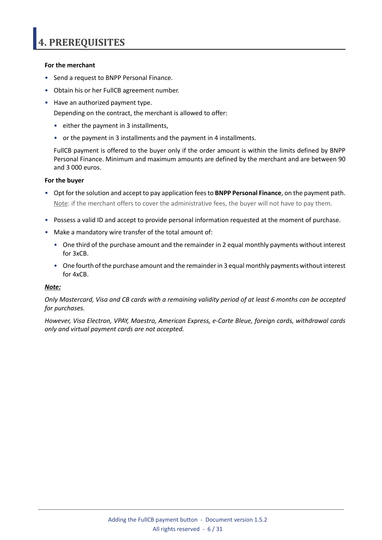### <span id="page-5-0"></span>**For the merchant**

- Send a request to BNPP Personal Finance.
- Obtain his or her FullCB agreement number.
- Have an authorized payment type.

Depending on the contract, the merchant is allowed to offer:

- either the payment in 3 installments,
- or the payment in 3 installments and the payment in 4 installments.

FullCB payment is offered to the buyer only if the order amount is within the limits defined by BNPP Personal Finance. Minimum and maximum amounts are defined by the merchant and are between 90 and 3 000 euros.

#### **For the buyer**

- Opt for the solution and accept to pay application feesto **BNPP Personal Finance**, on the payment path. Note: if the merchant offers to cover the administrative fees, the buyer will not have to pay them.
- Possess a valid ID and accept to provide personal information requested at the moment of purchase.
- Make a mandatory wire transfer of the total amount of:
	- One third of the purchase amount and the remainder in 2 equal monthly payments without interest for 3xCB.
	- One fourth of the purchase amount and the remainder in 3 equal monthly payments without interest for 4xCB.

#### *Note:*

Only Mastercard, Visa and CB cards with a remaining validity period of at least 6 months can be accepted *for purchases.*

*However, Visa Electron, VPAY, Maestro, American Express, e-Carte Bleue, foreign cards, withdrawal cards only and virtual payment cards are not accepted.*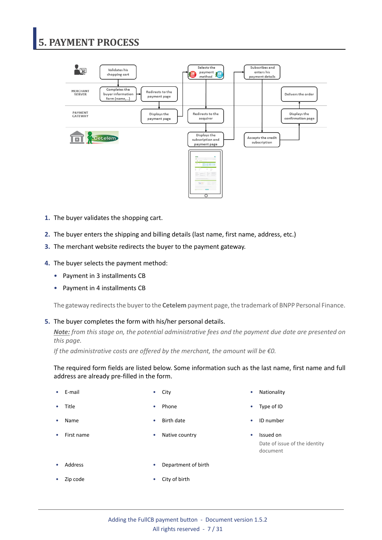# <span id="page-6-0"></span>**5. PAYMENT PROCESS**



- **1.** The buyer validates the shopping cart.
- **2.** The buyer enters the shipping and billing details (last name, first name, address, etc.)
- **3.** The merchant website redirects the buyer to the payment gateway.
- **4.** The buyer selects the payment method:
	- Payment in 3 installments CB
	- Payment in 4 installments CB

The gateway redirects the buyer to the **Cetelem** payment page, the trademark of BNPP Personal Finance.

#### **5.** The buyer completes the form with his/her personal details.

*Note: from this stage on, the potential administrative fees and the payment due date are presented on this page.*

*If the administrative costs are offered by the merchant, the amount will be €0.*

The required form fields are listed below. Some information such as the last name, first name and full address are already pre-filled in the form.

- 
- 
- 
- 
- **Name •** Birth date **• Birth date • ID** number
- First name  **Native country Issued on**
- E-mail **E-mail** City  **City City Nationality** Nationality
- Title Phone Phone Type of ID
	-
	- Date of issue of the identity document

- - Address Department of birth
- Zip code City of birth
	- Adding the FullCB payment button Document version 1.5.2 All rights reserved - 7 / 31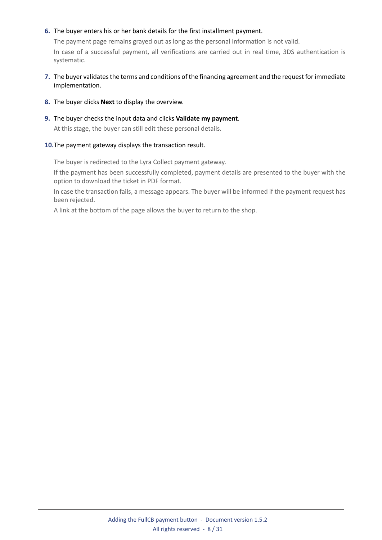### **6.** The buyer enters his or her bank details for the first installment payment.

The payment page remains grayed out as long as the personal information is not valid. In case of a successful payment, all verifications are carried out in real time, 3DS authentication is systematic.

- **7.** The buyer validatesthe terms and conditions of the financing agreement and the request for immediate implementation.
- **8.** The buyer clicks **Next** to display the overview.
- **9.** The buyer checks the input data and clicks **Validate my payment**.

At this stage, the buyer can still edit these personal details.

### **10.**The payment gateway displays the transaction result.

The buyer is redirected to the Lyra Collect payment gateway.

If the payment has been successfully completed, payment details are presented to the buyer with the option to download the ticket in PDF format.

In case the transaction fails, a message appears. The buyer will be informed if the payment request has been rejected.

A link at the bottom of the page allows the buyer to return to the shop.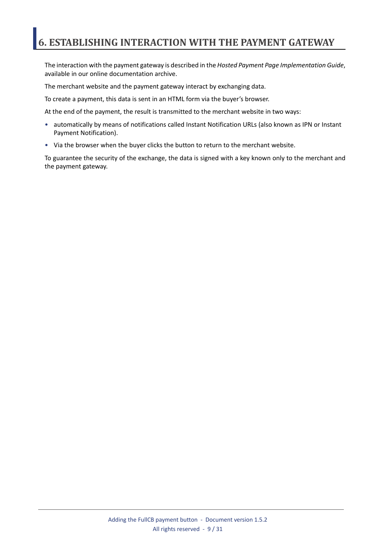## <span id="page-8-0"></span>**6. ESTABLISHING INTERACTION WITH THE PAYMENT GATEWAY**

The interaction with the payment gateway is described in the *Hosted Payment Page Implementation Guide*, available in our online documentation archive.

The merchant website and the payment gateway interact by exchanging data.

To create a payment, this data is sent in an HTML form via the buyer's browser.

At the end of the payment, the result is transmitted to the merchant website in two ways:

- automatically by means of notifications called Instant Notification URLs (also known as IPN or Instant Payment Notification).
- Via the browser when the buyer clicks the button to return to the merchant website.

To guarantee the security of the exchange, the data is signed with a key known only to the merchant and the payment gateway.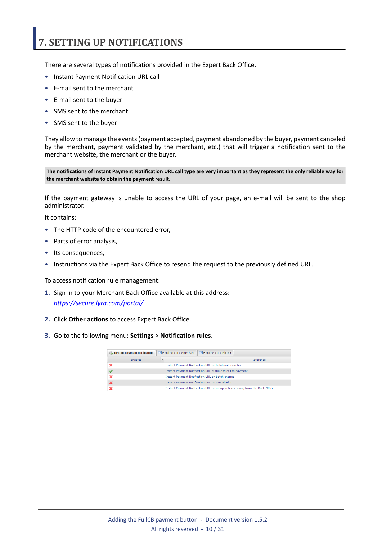## <span id="page-9-0"></span>**7. SETTING UP NOTIFICATIONS**

There are several types of notifications provided in the Expert Back Office.

- Instant Payment Notification URL call
- E-mail sent to the merchant
- E-mail sent to the buyer
- SMS sent to the merchant
- SMS sent to the buyer

They allow to manage the events(payment accepted, payment abandoned by the buyer, payment canceled by the merchant, payment validated by the merchant, etc.) that will trigger a notification sent to the merchant website, the merchant or the buyer.

The notifications of Instant Payment Notification URL call type are very important as they represent the only reliable way for **the merchant website to obtain the payment result.**

If the payment gateway is unable to access the URL of your page, an e-mail will be sent to the shop administrator.

It contains:

- The HTTP code of the encountered error,
- Parts of error analysis,
- Its consequences,
- Instructions via the Expert Back Office to resend the request to the previously defined URL.

To access notification rule management:

- **1.** Sign in to your Merchant Back Office available at this address: *<https://secure.lyra.com/portal/>*
- **2.** Click **Other actions** to access Expert Back Office.
- **3.** Go to the following menu: **Settings** > **Notification rules**.

| E-mail sent to the merchant<br>E-mail sent to the buyer<br><b>A</b> Instant Payment Notification |         |  |                                                                              |  |
|--------------------------------------------------------------------------------------------------|---------|--|------------------------------------------------------------------------------|--|
|                                                                                                  | Enabled |  | Reference                                                                    |  |
|                                                                                                  |         |  | Instant Payment Notification URL on batch authorization                      |  |
|                                                                                                  |         |  | Instant Payment Notification URL at the end of the payment                   |  |
|                                                                                                  |         |  | Instant Payment Notification URL on batch change                             |  |
|                                                                                                  |         |  | <b>Instant Payment Notification URL on cancellation</b>                      |  |
|                                                                                                  |         |  | Instant Payment Notification URL on an operation coming from the Back Office |  |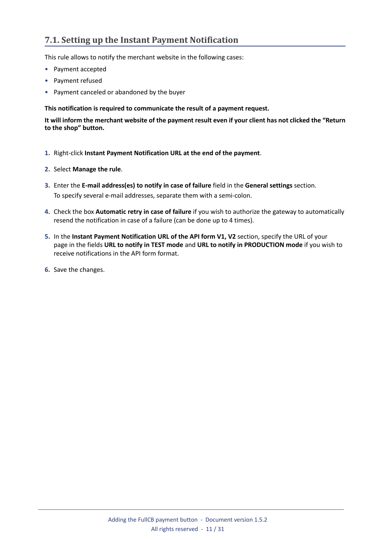## <span id="page-10-0"></span>**7.1. Setting up the Instant Payment Notification**

This rule allows to notify the merchant website in the following cases:

- Payment accepted
- Payment refused
- Payment canceled or abandoned by the buyer

#### **This notification is required to communicate the result of a payment request.**

It will inform the merchant website of the payment result even if your client has not clicked the "Return **to the shop" button.**

- **1.** Right-click **Instant Payment Notification URL at the end of the payment**.
- **2.** Select **Manage the rule**.
- **3.** Enter the **E-mail address(es) to notify in case of failure** field in the **General settings** section. To specify several e-mail addresses, separate them with a semi-colon.
- **4.** Check the box **Automatic retry in case of failure** if you wish to authorize the gateway to automatically resend the notification in case of a failure (can be done up to 4 times).
- **5.** In the **Instant Payment Notification URL of the API form V1, V2** section, specify the URL of your page in the fields **URL to notify in TEST mode** and **URL to notify in PRODUCTION mode** if you wish to receive notifications in the API form format.
- **6.** Save the changes.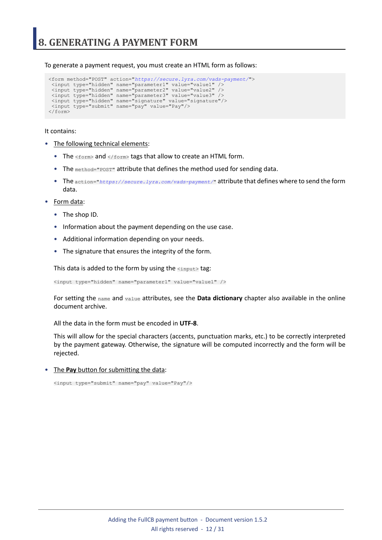<span id="page-11-0"></span>To generate a payment request, you must create an HTML form as follows:

```
<form method="POST" action="https://secure.lyra.com/vads-payment/">
 <input type="hidden" name="parameter1" value="value1" />
 <input type="hidden" name="parameter2" value="value2" />
 <input type="hidden" name="parameter3" value="value3" />
 <input type="hidden" name="signature" value="signature"/>
 <input type="submit" name="pay" value="Pay"/>
\langle/form\rangle
```
It contains:

- The following technical elements:
	- The  $\leq$  form> and  $\leq$ / form> tags that allow to create an HTML form.
	- The method="POST" attribute that defines the method used for sending data.
	- The action="*<https://secure.lyra.com/vads-payment/>*" attribute that defines where to send the form data.
- Form data:
	- The shop ID.
	- Information about the payment depending on the use case.
	- Additional information depending on your needs.
	- The signature that ensures the integrity of the form.

This data is added to the form by using the  $\langle$ input> tag:

<input type="hidden" name="parameter1" value="value1" />

For setting the name and value attributes, see the **Data dictionary** chapter also available in the online document archive.

All the data in the form must be encoded in **UTF-8**.

This will allow for the special characters (accents, punctuation marks, etc.) to be correctly interpreted by the payment gateway. Otherwise, the signature will be computed incorrectly and the form will be rejected.

• The **Pay** button for submitting the data:

<input type="submit" name="pay" value="Pay"/>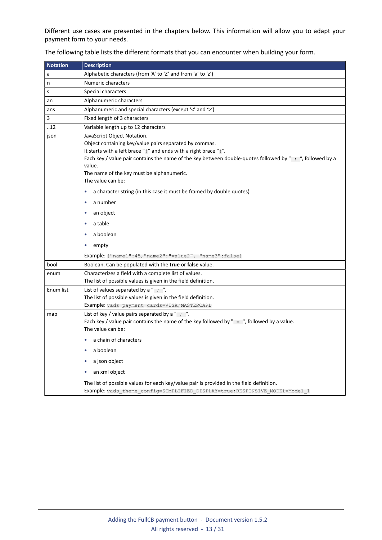Different use cases are presented in the chapters below. This information will allow you to adapt your payment form to your needs.

| <b>Notation</b> | <b>Description</b>                                                                                                                                                                                                                                                                                                                                                                                                                                                                                      |  |  |  |  |
|-----------------|---------------------------------------------------------------------------------------------------------------------------------------------------------------------------------------------------------------------------------------------------------------------------------------------------------------------------------------------------------------------------------------------------------------------------------------------------------------------------------------------------------|--|--|--|--|
| a               | Alphabetic characters (from 'A' to 'Z' and from 'a' to 'z')                                                                                                                                                                                                                                                                                                                                                                                                                                             |  |  |  |  |
| n               | Numeric characters                                                                                                                                                                                                                                                                                                                                                                                                                                                                                      |  |  |  |  |
| s               | Special characters                                                                                                                                                                                                                                                                                                                                                                                                                                                                                      |  |  |  |  |
| an              | Alphanumeric characters                                                                                                                                                                                                                                                                                                                                                                                                                                                                                 |  |  |  |  |
| ans             | Alphanumeric and special characters (except '<' and '>')                                                                                                                                                                                                                                                                                                                                                                                                                                                |  |  |  |  |
| 3               | Fixed length of 3 characters                                                                                                                                                                                                                                                                                                                                                                                                                                                                            |  |  |  |  |
| .12             | Variable length up to 12 characters                                                                                                                                                                                                                                                                                                                                                                                                                                                                     |  |  |  |  |
| json            | JavaScript Object Notation.<br>Object containing key/value pairs separated by commas.<br>It starts with a left brace "{" and ends with a right brace "}".<br>Each key / value pair contains the name of the key between double-quotes followed by ": ", followed by a<br>value.<br>The name of the key must be alphanumeric.<br>The value can be:<br>a character string (in this case it must be framed by double quotes)<br>۰<br>a number<br>٠<br>an object<br>٠<br>a table<br>۰<br>a boolean<br>empty |  |  |  |  |
|                 | Example: { "name1": 45, "name2": "value2", "name3": false }                                                                                                                                                                                                                                                                                                                                                                                                                                             |  |  |  |  |
| bool            | Boolean. Can be populated with the true or false value.                                                                                                                                                                                                                                                                                                                                                                                                                                                 |  |  |  |  |
| enum            | Characterizes a field with a complete list of values.<br>The list of possible values is given in the field definition.                                                                                                                                                                                                                                                                                                                                                                                  |  |  |  |  |
| Enum list       | List of values separated by a " $\frac{1}{2}$ ".<br>The list of possible values is given in the field definition.<br>Example: vads_payment_cards=VISA; MASTERCARD                                                                                                                                                                                                                                                                                                                                       |  |  |  |  |
| map             | List of key / value pairs separated by a " $\cdot$ ".<br>Each key / value pair contains the name of the key followed by " = ", followed by a value.<br>The value can be:<br>a chain of characters<br>۰<br>a boolean<br>a json object<br>an xml object<br>۰                                                                                                                                                                                                                                              |  |  |  |  |
|                 | The list of possible values for each key/value pair is provided in the field definition.<br>Example: vads theme config=SIMPLIFIED DISPLAY=true; RESPONSIVE MODEL=Model 1                                                                                                                                                                                                                                                                                                                                |  |  |  |  |

The following table lists the different formats that you can encounter when building your form.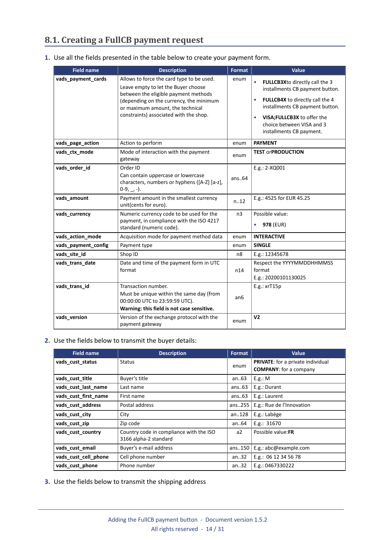## <span id="page-13-0"></span>**8.1. Creating a FullCB payment request**

| 1. Use all the fields presented in the table below to create your payment form. |  |  |  |
|---------------------------------------------------------------------------------|--|--|--|
|                                                                                 |  |  |  |

| <b>Field name</b>   | <b>Description</b>                                                                                                                                                                                                                                | Format         | Value                                                                                                                                                                                                                           |
|---------------------|---------------------------------------------------------------------------------------------------------------------------------------------------------------------------------------------------------------------------------------------------|----------------|---------------------------------------------------------------------------------------------------------------------------------------------------------------------------------------------------------------------------------|
| vads_payment_cards  | Allows to force the card type to be used.<br>Leave empty to let the Buyer choose<br>between the eligible payment methods<br>(depending on the currency, the minimum<br>or maximum amount, the technical<br>constraints) associated with the shop. | enum           | FULLCB3Xto directly call the 3<br>installments CB payment button.<br>FULLCB4X to directly call the 4<br>installments CB payment button.<br>VISA; FULLCB3X to offer the<br>choice between VISA and 3<br>installments CB payment. |
| vads_page_action    | Action to perform                                                                                                                                                                                                                                 | enum           | <b>PAYMENT</b>                                                                                                                                                                                                                  |
| vads_ctx_mode       | Mode of interaction with the payment<br>gateway                                                                                                                                                                                                   | enum           | <b>TEST orPRODUCTION</b>                                                                                                                                                                                                        |
| vads_order_id       | Order ID<br>Can contain uppercase or lowercase<br>characters, numbers or hyphens ([A-Z] [a-z],<br>$0-9, -1$ .                                                                                                                                     | ans.64         | E.g.: 2-XQ001                                                                                                                                                                                                                   |
| vads_amount         | Payment amount in the smallest currency<br>unit(cents for euro).                                                                                                                                                                                  | n.12           | E.g.: 4525 for EUR 45.25                                                                                                                                                                                                        |
| vads_currency       | Numeric currency code to be used for the<br>payment, in compliance with the ISO 4217<br>standard (numeric code).                                                                                                                                  | n <sub>3</sub> | Possible value:<br><b>978 (EUR)</b>                                                                                                                                                                                             |
| vads_action_mode    | Acquisition mode for payment method data                                                                                                                                                                                                          | enum           | <b>INTERACTIVE</b>                                                                                                                                                                                                              |
| vads payment config | Payment type                                                                                                                                                                                                                                      | enum           | <b>SINGLE</b>                                                                                                                                                                                                                   |
| vads site id        | Shop ID                                                                                                                                                                                                                                           | n <sub>8</sub> | E.g.: 12345678                                                                                                                                                                                                                  |
| vads_trans_date     | Date and time of the payment form in UTC<br>format                                                                                                                                                                                                | n14            | Respect the YYYYMMDDHHMMSS<br>format<br>E.g.: 20200101130025                                                                                                                                                                    |
| vads_trans_id       | Transaction number.<br>Must be unique within the same day (from<br>00:00:00 UTC to 23:59:59 UTC).<br>Warning: this field is not case sensitive.                                                                                                   | an6            | E.g.: xrT15p                                                                                                                                                                                                                    |
| vads_version        | Version of the exchange protocol with the<br>payment gateway                                                                                                                                                                                      | enum           | V <sub>2</sub>                                                                                                                                                                                                                  |

### **2.** Use the fields below to transmit the buyer details:

| <b>Field name</b>    | <b>Description</b>                                               | Format  | Value                                                                     |  |
|----------------------|------------------------------------------------------------------|---------|---------------------------------------------------------------------------|--|
| vads cust status     | <b>Status</b>                                                    | enum    | <b>PRIVATE:</b> for a private individual<br><b>COMPANY:</b> for a company |  |
| vads_cust_title      | Buyer's title                                                    | an $63$ | E.g.: M                                                                   |  |
| vads cust last name  | Last name                                                        | ans.63  | E.g.: Durant                                                              |  |
| vads cust first name | First name                                                       | ans.63  | E.g.: Laurent                                                             |  |
| vads cust address    | Postal address                                                   | ans255  | E.g.: Rue de l'Innovation                                                 |  |
| vads cust city       | City                                                             | an128   | E.g.: Labège                                                              |  |
| vads cust zip        | Zip code                                                         | an64    | E.g.: $31670$                                                             |  |
| vads cust country    | Country code in compliance with the ISO<br>3166 alpha-2 standard | a2      | Possible value:FR                                                         |  |
| vads cust email      | Buyer's e-mail address                                           | ans150  | E.g.: abc@example.com                                                     |  |
| vads_cust_cell_phone | Cell phone number                                                | an.32   | E.g.: 06 12 34 56 78                                                      |  |
| vads cust phone      | Phone number                                                     | an32    | E.g.: 0467330222                                                          |  |

**3.** Use the fields below to transmit the shipping address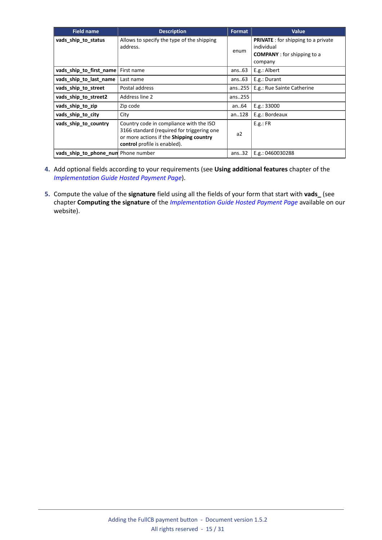| <b>Field name</b>                   | <b>Description</b>                                                                                                                                               | <b>Format</b> | Value                                                                                                     |
|-------------------------------------|------------------------------------------------------------------------------------------------------------------------------------------------------------------|---------------|-----------------------------------------------------------------------------------------------------------|
| vads_ship_to_status                 | Allows to specify the type of the shipping<br>address.                                                                                                           | enum          | <b>PRIVATE</b> : for shipping to a private<br>individual<br><b>COMPANY</b> : for shipping to a<br>company |
| vads_ship_to_first_name             | First name                                                                                                                                                       | ans $.63$     | E.g.: Albert                                                                                              |
| vads ship to last name              | Last name                                                                                                                                                        | ans $.63$     | E.g.: Durant                                                                                              |
| vads_ship_to_street                 | Postal address                                                                                                                                                   | ans255        | E.g.: Rue Sainte Catherine                                                                                |
| vads_ship_to_street2                | Address line 2                                                                                                                                                   | ans255        |                                                                                                           |
| vads_ship_to_zip                    | Zip code                                                                                                                                                         | an64          | E.g.: 33000                                                                                               |
| vads ship to city                   | City                                                                                                                                                             | an128         | E.g.: Bordeaux                                                                                            |
| vads_ship_to_country                | Country code in compliance with the ISO<br>3166 standard (required for triggering one<br>or more actions if the Shipping country<br>control profile is enabled). | a2            | E.g.: FR                                                                                                  |
| vads_ship_to_phone_nun Phone number |                                                                                                                                                                  | ans.32        | E.g.: 0460030288                                                                                          |

- **4.** Add optional fields according to your requirements (see **Using additional features** chapter of the *[Implementation](https://docs.lyra.com/en/collect/form-payment/standard-payment/sitemap.html) Guide Hosted Payment Page*).
- **5.** Compute the value of the **signature** field using all the fields of your form that start with **vads\_** (see chapter **Computing the signature** of the *[Implementation](https://docs.lyra.com/en/collect/form-payment/standard-payment/sitemap.html) Guide Hosted Payment Page* available on our website).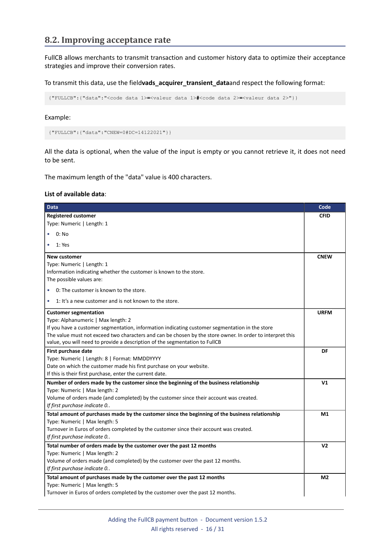### <span id="page-15-0"></span>**8.2. Improving acceptance rate**

FullCB allows merchants to transmit transaction and customer history data to optimize their acceptance strategies and improve their conversion rates.

To transmit this data, use the field**vads\_acquirer\_transient\_data**and respect the following format:

```
{"FULLCB":{"data":"<code data 1>=<valeur data 1>#<code data 2>=<valeur data 2>"}}
```
Example:

```
{"FULLCB":{"data":"CNEW=0#DC=14122021"}}
```
All the data is optional, when the value of the input is empty or you cannot retrieve it, it does not need to be sent.

The maximum length of the "data" value is 400 characters.

#### **List of available data**:

| <b>Data</b>                                                                                               | Code           |
|-----------------------------------------------------------------------------------------------------------|----------------|
| <b>Registered customer</b>                                                                                | <b>CFID</b>    |
| Type: Numeric   Length: 1                                                                                 |                |
| 0: No                                                                                                     |                |
| 1: Yes                                                                                                    |                |
| <b>New customer</b>                                                                                       | <b>CNEW</b>    |
| Type: Numeric   Length: 1                                                                                 |                |
| Information indicating whether the customer is known to the store.                                        |                |
| The possible values are:                                                                                  |                |
| 0: The customer is known to the store.<br>$\bullet$                                                       |                |
| 1: It's a new customer and is not known to the store.<br>$\bullet$                                        |                |
| <b>Customer segmentation</b>                                                                              | <b>URFM</b>    |
| Type: Alphanumeric   Max length: 2                                                                        |                |
| If you have a customer segmentation, information indicating customer segmentation in the store            |                |
| The value must not exceed two characters and can be chosen by the store owner. In order to interpret this |                |
| value, you will need to provide a description of the segmentation to FullCB                               |                |
| First purchase date                                                                                       | DF             |
| Type: Numeric   Length: 8   Format: MMDDYYYY                                                              |                |
| Date on which the customer made his first purchase on your website.                                       |                |
| If this is their first purchase, enter the current date.                                                  |                |
| Number of orders made by the customer since the beginning of the business relationship                    | V <sub>1</sub> |
| Type: Numeric   Max length: 2                                                                             |                |
| Volume of orders made (and completed) by the customer since their account was created.                    |                |
| If first purchase indicate 0                                                                              |                |
| Total amount of purchases made by the customer since the beginning of the business relationship           | M1             |
| Type: Numeric   Max length: 5                                                                             |                |
| Turnover in Euros of orders completed by the customer since their account was created.                    |                |
| If first purchase indicate 0                                                                              |                |
| Total number of orders made by the customer over the past 12 months                                       | V <sub>2</sub> |
| Type: Numeric   Max length: 2                                                                             |                |
| Volume of orders made (and completed) by the customer over the past 12 months.                            |                |
| If first purchase indicate 0                                                                              |                |
| Total amount of purchases made by the customer over the past 12 months                                    | M <sub>2</sub> |
| Type: Numeric   Max length: 5                                                                             |                |
| Turnover in Euros of orders completed by the customer over the past 12 months.                            |                |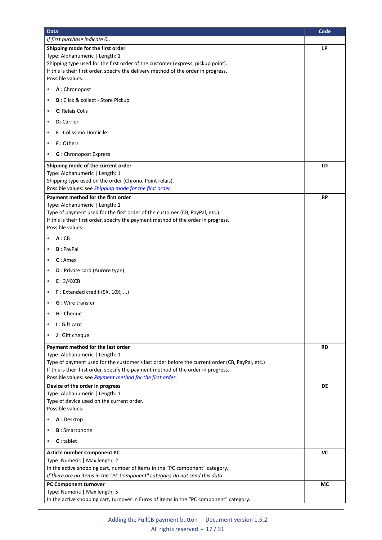<span id="page-16-1"></span><span id="page-16-0"></span>

| <b>Data</b>                                                                                                                      | Code |
|----------------------------------------------------------------------------------------------------------------------------------|------|
| If first purchase indicate 0                                                                                                     |      |
| Shipping mode for the first order                                                                                                | LP   |
| Type: Alphanumeric   Length: 1<br>Shipping type used for the first order of the customer (express, pickup point).                |      |
| If this is their first order, specify the delivery method of the order in progress.                                              |      |
| Possible values:                                                                                                                 |      |
| A: Chronopost<br>٠                                                                                                               |      |
| B: Click & collect - Store Pickup<br>٠                                                                                           |      |
| C: Relais Colis<br>$\bullet$                                                                                                     |      |
| <b>D</b> : Carrier<br>$\bullet$                                                                                                  |      |
| E : Colissimo Domicile<br>$\bullet$                                                                                              |      |
| F: Others<br>$\bullet$                                                                                                           |      |
| <b>G</b> : Chronopost Express<br>$\bullet$                                                                                       |      |
| Shipping mode of the current order                                                                                               | LD   |
| Type: Alphanumeric   Length: 1                                                                                                   |      |
| Shipping type used on the order (Chrono, Point relais).<br>Possible values: see Shipping mode for the first order.               |      |
| Payment method for the first order                                                                                               | RP   |
| Type: Alphanumeric   Length: 1                                                                                                   |      |
| Type of payment used for the first order of the customer (CB, PayPal, etc.).                                                     |      |
| If this is their first order, specify the payment method of the order in progress.<br>Possible values:                           |      |
| A:CB                                                                                                                             |      |
|                                                                                                                                  |      |
| <b>B</b> : PayPal<br>٠                                                                                                           |      |
| $C:$ Amex<br>$\bullet$                                                                                                           |      |
| <b>D</b> : Private card (Aurore type)<br>$\bullet$                                                                               |      |
| E: 3/4XCB<br>$\bullet$                                                                                                           |      |
| $F:$ Extended credit (5X, 10X, )<br>$\bullet$                                                                                    |      |
| <b>G</b> : Wire transfer<br>$\bullet$                                                                                            |      |
| H: Cheque                                                                                                                        |      |
| I: Gift card<br>$\bullet$                                                                                                        |      |
| J: Gift cheque<br>$\bullet$                                                                                                      |      |
| Payment method for the last order                                                                                                | RD   |
| Type: Alphanumeric   Length: 1<br>Type of payment used for the customer's last order before the current order (CB, PayPal, etc.) |      |
| If this is their first order, specify the payment method of the order in progress.                                               |      |
| Possible values: see Payment method for the first order.                                                                         |      |
| Device of the order in progress                                                                                                  | DE   |
| Type: Alphanumeric   Length: 1                                                                                                   |      |
| Type of device used on the current order.<br>Possible values:                                                                    |      |
| A: Desktop<br>۰                                                                                                                  |      |
| <b>B</b> : Smartphone<br>۰                                                                                                       |      |
| $C:$ tablet<br>۰                                                                                                                 |      |
| <b>Article number Component PC</b>                                                                                               | VC   |
| Type: Numeric   Max length: 2                                                                                                    |      |
| In the active shopping cart, number of items in the "PC component" category.                                                     |      |
| If there are no items in the "PC Component" category, do not send this data.                                                     |      |
| PC Component turnover                                                                                                            | МC   |
| Type: Numeric   Max length: 5<br>In the active shopping cart, turnover in Euros of items in the "PC component" category.         |      |
|                                                                                                                                  |      |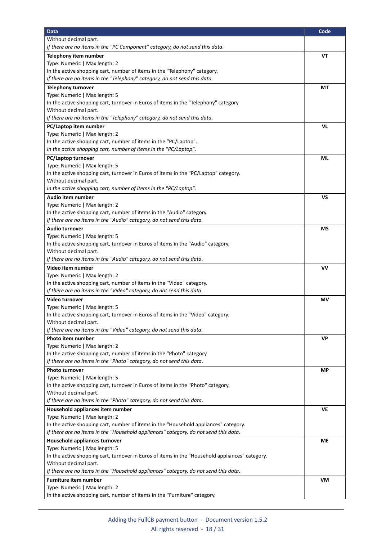| <b>Data</b>                                                                                     | Code      |
|-------------------------------------------------------------------------------------------------|-----------|
| Without decimal part.                                                                           |           |
| If there are no items in the "PC Component" category, do not send this data.                    |           |
| Telephony item number                                                                           | VT        |
| Type: Numeric   Max length: 2                                                                   |           |
| In the active shopping cart, number of items in the "Telephony" category.                       |           |
| If there are no items in the "Telephony" category, do not send this data.                       |           |
| <b>Telephony turnover</b>                                                                       | МT        |
| Type: Numeric   Max length: 5                                                                   |           |
| In the active shopping cart, turnover in Euros of items in the "Telephony" category             |           |
| Without decimal part.                                                                           |           |
| If there are no items in the "Telephony" category, do not send this data.                       |           |
| PC/Laptop item number                                                                           | VL        |
| Type: Numeric   Max length: 2                                                                   |           |
| In the active shopping cart, number of items in the "PC/Laptop".                                |           |
| In the active shopping cart, number of items in the "PC/Laptop".                                |           |
| PC/Laptop turnover                                                                              | ML        |
| Type: Numeric   Max length: 5                                                                   |           |
| In the active shopping cart, turnover in Euros of items in the "PC/Laptop" category.            |           |
| Without decimal part.                                                                           |           |
| In the active shopping cart, number of items in the "PC/Laptop".                                |           |
| Audio item number                                                                               | VS        |
| Type: Numeric   Max length: 2                                                                   |           |
| In the active shopping cart, number of items in the "Audio" category.                           |           |
| If there are no items in the "Audio" category, do not send this data.                           |           |
| <b>Audio turnover</b>                                                                           | ΜS        |
| Type: Numeric   Max length: 5                                                                   |           |
| In the active shopping cart, turnover in Euros of items in the "Audio" category.                |           |
| Without decimal part.                                                                           |           |
| If there are no items in the "Audio" category, do not send this data.                           |           |
| Video item number                                                                               | <b>VV</b> |
| Type: Numeric   Max length: 2                                                                   |           |
| In the active shopping cart, number of items in the "Video" category.                           |           |
| If there are no items in the "Video" category, do not send this data.                           |           |
| Video turnover                                                                                  | ΜV        |
| Type: Numeric   Max length: 5                                                                   |           |
| In the active shopping cart, turnover in Euros of items in the "Video" category.                |           |
| Without decimal part.                                                                           |           |
| If there are no items in the "Video" category, do not send this data.                           |           |
| Photo item number                                                                               | VP        |
| Type: Numeric   Max length: 2                                                                   |           |
| In the active shopping cart, number of items in the "Photo" category                            |           |
| If there are no items in the "Photo" category, do not send this data.                           |           |
| <b>Photo turnover</b>                                                                           | <b>MP</b> |
| Type: Numeric   Max length: 5                                                                   |           |
| In the active shopping cart, turnover in Euros of items in the "Photo" category.                |           |
| Without decimal part.                                                                           |           |
| If there are no items in the "Photo" category, do not send this data.                           |           |
| Household appliances item number                                                                | VE        |
| Type: Numeric   Max length: 2                                                                   |           |
| In the active shopping cart, number of items in the "Household appliances" category.            |           |
| If there are no items in the "Household appliances" category, do not send this data.            |           |
| Household appliances turnover                                                                   | <b>ME</b> |
| Type: Numeric   Max length: 5                                                                   |           |
| In the active shopping cart, turnover in Euros of items in the "Household appliances" category. |           |
| Without decimal part.                                                                           |           |
| If there are no items in the "Household appliances" category, do not send this data.            |           |
| <b>Furniture item number</b>                                                                    | VM        |
| Type: Numeric   Max length: 2                                                                   |           |
| In the active shopping cart, number of items in the "Furniture" category.                       |           |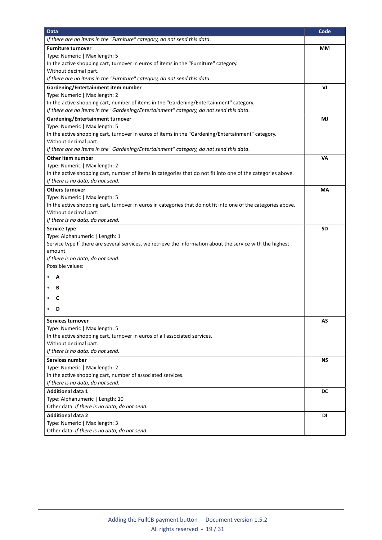| <b>Data</b>                                                                                                    | Code      |
|----------------------------------------------------------------------------------------------------------------|-----------|
| If there are no items in the "Furniture" category, do not send this data.                                      |           |
| <b>Furniture turnover</b>                                                                                      | МM        |
| Type: Numeric   Max length: 5                                                                                  |           |
| In the active shopping cart, turnover in euros of items in the "Furniture" category.                           |           |
| Without decimal part.                                                                                          |           |
| If there are no items in the "Furniture" category, do not send this data.                                      |           |
| Gardening/Entertainment item number                                                                            | VJ        |
| Type: Numeric   Max length: 2                                                                                  |           |
| In the active shopping cart, number of items in the "Gardening/Entertainment" category.                        |           |
| If there are no items in the "Gardening/Entertainment" category, do not send this data.                        |           |
| Gardening/Entertainment turnover                                                                               | MJ        |
| Type: Numeric   Max length: 5                                                                                  |           |
| In the active shopping cart, turnover in euros of items in the "Gardening/Entertainment" category.             |           |
| Without decimal part.                                                                                          |           |
| If there are no items in the "Gardening/Entertainment" category, do not send this data.                        |           |
| Other item number                                                                                              | <b>VA</b> |
| Type: Numeric   Max length: 2                                                                                  |           |
| In the active shopping cart, number of items in categories that do not fit into one of the categories above.   |           |
| If there is no data, do not send.                                                                              |           |
| <b>Others turnover</b>                                                                                         | MA        |
| Type: Numeric   Max length: 5                                                                                  |           |
| In the active shopping cart, turnover in euros in categories that do not fit into one of the categories above. |           |
| Without decimal part.                                                                                          |           |
| If there is no data, do not send.                                                                              |           |
| Service type                                                                                                   | SD        |
| Type: Alphanumeric   Length: 1                                                                                 |           |
| Service type If there are several services, we retrieve the information about the service with the highest     |           |
| amount.                                                                                                        |           |
| If there is no data, do not send.                                                                              |           |
| Possible values:                                                                                               |           |
| A                                                                                                              |           |
| в                                                                                                              |           |
|                                                                                                                |           |
| C                                                                                                              |           |
| D                                                                                                              |           |
| Services turnover                                                                                              | AS        |
| Type: Numeric   Max length: 5                                                                                  |           |
| In the active shopping cart, turnover in euros of all associated services.                                     |           |
| Without decimal part.                                                                                          |           |
| If there is no data, do not send.                                                                              |           |
| <b>Services number</b>                                                                                         | NS.       |
| Type: Numeric   Max length: 2                                                                                  |           |
| In the active shopping cart, number of associated services.                                                    |           |
| If there is no data, do not send.                                                                              |           |
| <b>Additional data 1</b>                                                                                       | DC        |
| Type: Alphanumeric   Length: 10                                                                                |           |
| Other data. If there is no data, do not send.                                                                  |           |
| <b>Additional data 2</b>                                                                                       | DI        |
| Type: Numeric   Max length: 3                                                                                  |           |
| Other data. If there is no data, do not send.                                                                  |           |
|                                                                                                                |           |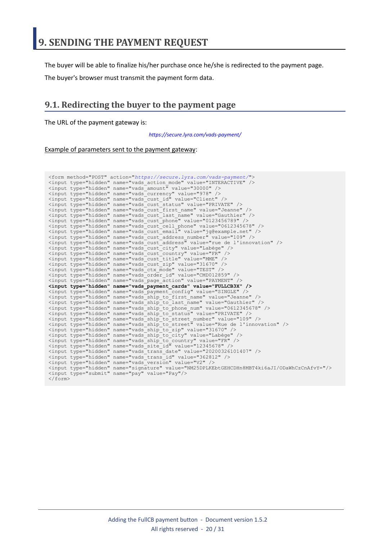<span id="page-19-0"></span>The buyer will be able to finalize his/her purchase once he/she is redirected to the payment page.

The buyer's browser must transmit the payment form data.

### <span id="page-19-1"></span>**9.1. Redirecting the buyer to the payment page**

The URL of the payment gateway is:

*<https://secure.lyra.com/vads-payment/>*

#### Example of parameters sent to the payment gateway:

| <form action="https://secure.lyra.com/vads-payment/" method="POST"></form>                   |
|----------------------------------------------------------------------------------------------|
| <input name="vads action mode" type="hidden" value="INTERACTIVE"/>                           |
| <input name="vads amount" type="hidden" value="30000"/>                                      |
| <input name="vads currency" type="hidden" value="978"/>                                      |
| <input name="vads cust id" type="hidden" value="Client"/>                                    |
| <input name="vads cust status" type="hidden" value="PRIVATE"/>                               |
| <input name="vads cust first name" type="hidden" value="Jeanne"/>                            |
| <input name="vads cust last name" type="hidden" value="Gauthier"/>                           |
| <input name="vads cust phone" type="hidden" value="0123456789"/>                             |
| <input name="vads cust cell phone" type="hidden" value="0612345678"/>                        |
| <input name="vads cust email" type="hidden" value="jq@example.net"/>                         |
| <input name="vads cust address number" type="hidden" value="109"/>                           |
| <input name="vads cust address" type="hidden" value="rue de l'innovation"/>                  |
| <input name="vads cust city" type="hidden" value="Labège"/>                                  |
| <input name="vads cust country" type="hidden" value="FR"/>                                   |
| <input name="vads cust title" type="hidden" value="MME"/>                                    |
| <input name="vads cust zip" type="hidden" value="31670"/>                                    |
| <input name="vads ctx mode" type="hidden" value="TEST"/>                                     |
| <input name="vads order id" type="hidden" value="CMD012859"/>                                |
| <input name="vads page action" type="hidden" value="PAYMENT"/>                               |
| <input name="vads payment cards" type="hidden" value="FULLCB3X"/>                            |
| <input name="vads payment config" type="hidden" value="SINGLE"/>                             |
| <input name="vads ship to first name" type="hidden" value="Jeanne"/>                         |
| <input name="vads ship to last name" type="hidden" value="Gauthier"/>                        |
| <input name="vads ship to phone num" type="hidden" value="0612345678"/>                      |
| <input name="vads ship to status" type="hidden" value="PRIVATE"/>                            |
| <input name="vads ship to street number" type="hidden" value="109"/>                         |
| <input name="vads ship to street" type="hidden" value="Rue de l'innovation"/>                |
| <input name="vads ship to zip" type="hidden" value="31670"/>                                 |
| <input name="vads ship to city" type="hidden" value="Labèqe"/>                               |
| <input name="vads ship to country" type="hidden" value="FR"/>                                |
| <input name="vads site id" type="hidden" value="12345678"/>                                  |
| <input name="vads trans date" type="hidden" value="20200326101407"/>                         |
| <input name="vads trans id" type="hidden" value="362812"/>                                   |
| <input name="vads version" type="hidden" value="V2"/>                                        |
| <input name="signature" type="hidden" value="NM25DPLKEbtGEHCDHn8MBT4ki6aJI/ODaWhCzCnAfvY="/> |
| <input name="pay" type="submit" value="Pay"/>                                                |
| $\langle$ /form $\rangle$                                                                    |
|                                                                                              |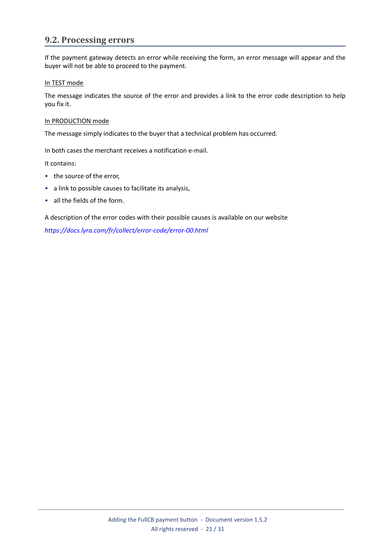## <span id="page-20-0"></span>**9.2. Processing errors**

If the payment gateway detects an error while receiving the form, an error message will appear and the buyer will not be able to proceed to the payment.

#### In TEST mode

The message indicates the source of the error and provides a link to the error code description to help you fix it.

#### In PRODUCTION mode

The message simply indicates to the buyer that a technical problem has occurred.

In both cases the merchant receives a notification e-mail.

It contains:

- the source of the error,
- a link to possible causes to facilitate its analysis,
- all the fields of the form.

A description of the error codes with their possible causes is available on our website

*<https://docs.lyra.com/fr/collect/error-code/error-00.html>*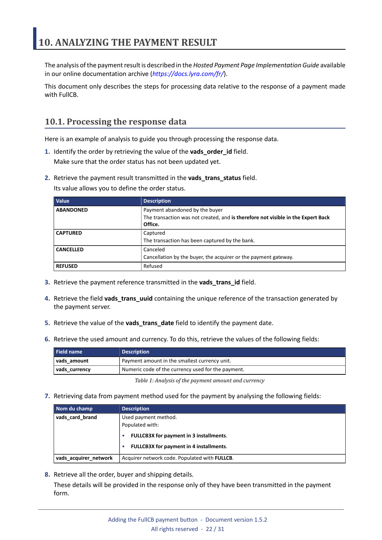<span id="page-21-0"></span>The analysis of the payment result is described in the *Hosted Payment Page Implementation Guide* available in our online documentation archive (*<https://docs.lyra.com/fr/>*).

This document only describes the steps for processing data relative to the response of a payment made with FullCB.

## <span id="page-21-1"></span>**10.1. Processing the response data**

Here is an example of analysis to guide you through processing the response data.

- **1.** Identify the order by retrieving the value of the **vads\_order\_id** field. Make sure that the order status has not been updated yet.
- **2.** Retrieve the payment result transmitted in the **vads\_trans\_status** field.

Its value allows you to define the order status.

| <b>Value</b>     | <b>Description</b>                                                                                                            |
|------------------|-------------------------------------------------------------------------------------------------------------------------------|
| <b>ABANDONED</b> | Payment abandoned by the buyer<br>The transaction was not created, and is therefore not visible in the Expert Back<br>Office. |
| <b>CAPTURED</b>  | Captured<br>The transaction has been captured by the bank.                                                                    |
| <b>CANCELLED</b> | Canceled<br>Cancellation by the buyer, the acquirer or the payment gateway.                                                   |
| <b>REFUSED</b>   | Refused                                                                                                                       |

- **3.** Retrieve the payment reference transmitted in the **vads\_trans\_id** field.
- **4.** Retrieve the field **vads\_trans\_uuid** containing the unique reference of the transaction generated by the payment server.
- **5.** Retrieve the value of the **vads\_trans\_date** field to identify the payment date.
- **6.** Retrieve the used amount and currency. To do this, retrieve the values of the following fields:

| Field name    | <b>Description</b>                                 |
|---------------|----------------------------------------------------|
| vads amount   | Payment amount in the smallest currency unit.      |
| vads currency | Numeric code of the currency used for the payment. |

*Table 1: Analysis of the payment amount and currency*

**7.** Retrieving data from payment method used for the payment by analysing the following fields:

| Nom du champ                                               | <b>Description</b>                                                                        |
|------------------------------------------------------------|-------------------------------------------------------------------------------------------|
| vads card brand<br>Used payment method.<br>Populated with: |                                                                                           |
|                                                            | <b>FULLCB3X for payment in 3 installments.</b><br>FULLCB3X for payment in 4 installments. |
| vads acquirer network                                      | Acquirer network code. Populated with FULLCB.                                             |

**8.** Retrieve all the order, buyer and shipping details.

These details will be provided in the response only of they have been transmitted in the payment form.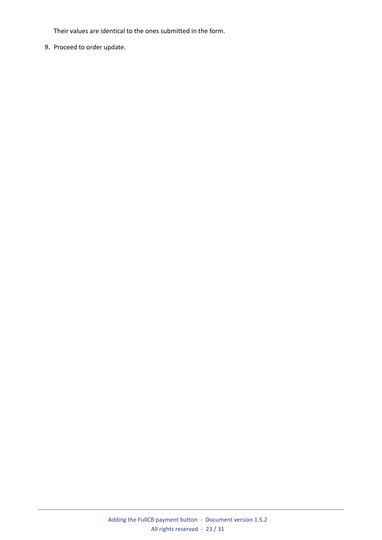Their values are identical to the ones submitted in the form.

**9.** Proceed to order update.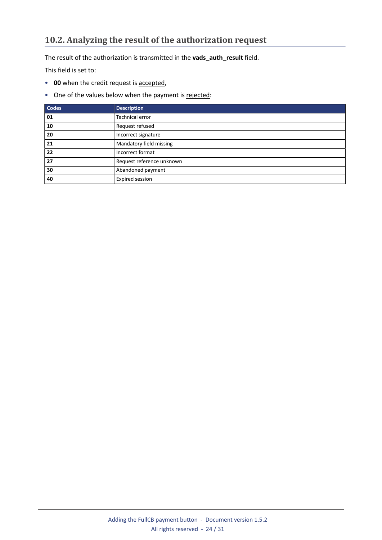<span id="page-23-0"></span>The result of the authorization is transmitted in the **vads\_auth\_result** field.

This field is set to:

- **00** when the credit request is accepted,
- One of the values below when the payment is rejected:

| <b>Codes</b> | <b>Description</b>        |
|--------------|---------------------------|
| 01           | Technical error           |
| 10           | Request refused           |
| 20           | Incorrect signature       |
| 21           | Mandatory field missing   |
| 22           | Incorrect format          |
| 27           | Request reference unknown |
| 30           | Abandoned payment         |
| 40           | Expired session           |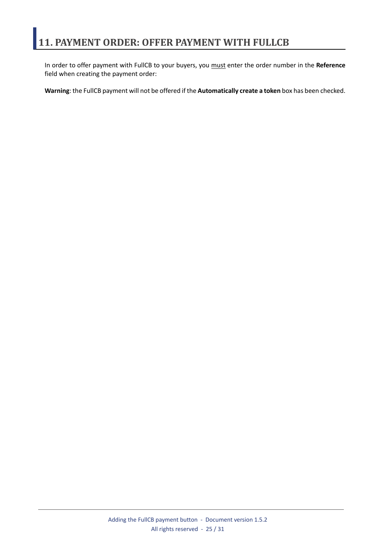<span id="page-24-0"></span>In order to offer payment with FullCB to your buyers, you must enter the order number in the **Reference** field when creating the payment order:

**Warning**: the FullCB payment will not be offered if the **Automatically create a token** box has been checked.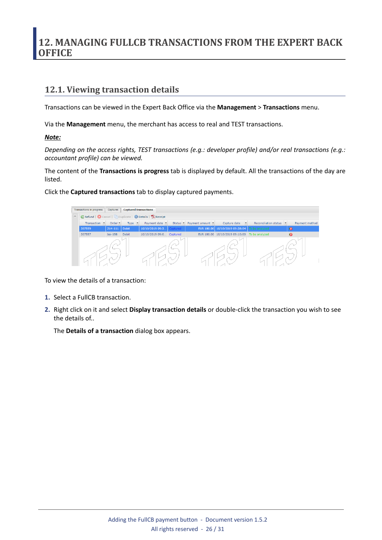## <span id="page-25-0"></span>**12. MANAGING FULLCB TRANSACTIONS FROM THE EXPERT BACK OFFICE**

### <span id="page-25-1"></span>**12.1. Viewing transaction details**

Transactions can be viewed in the Expert Back Office via the **Management** > **Transactions** menu.

Via the **Management** menu, the merchant has access to real and TEST transactions.

### *Note:*

*Depending on the access rights, TEST transactions (e.g.: developer profile) and/or real transactions (e.g.: accountant profile) can be viewed.*

The content of the **Transactions is progress** tab is displayed by default. All the transactions of the day are listed.

Click the **Captured transactions** tab to display captured payments.



To view the details of a transaction:

- **1.** Select a FullCB transaction.
- **2.** Right click on it and select **Display transaction details** or double-click the transaction you wish to see the details of..

The **Details of a transaction** dialog box appears.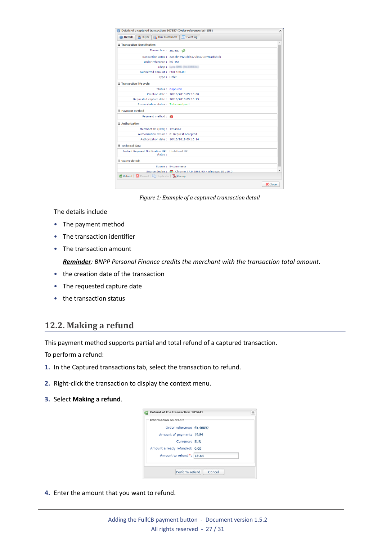|                                  | <b>O Details A</b> Buyer <b>A</b> Risk assessment                 | Event log                                             |  |
|----------------------------------|-------------------------------------------------------------------|-------------------------------------------------------|--|
|                                  | <b>El Transaction identification</b>                              |                                                       |  |
|                                  | Transaction: 307557                                               |                                                       |  |
|                                  |                                                                   | Transaction UUID: 331ab46920dd4a79bca70c79cacf5b2b    |  |
|                                  | Order reference: bsi-158                                          |                                                       |  |
|                                  |                                                                   | <b>Shop: Larm SMS (NESSREEL)</b>                      |  |
|                                  | Submitted amount: EUR 180.00                                      |                                                       |  |
|                                  | Type: Debit                                                       |                                                       |  |
| <b>El Transaction life cycle</b> |                                                                   |                                                       |  |
|                                  |                                                                   | Status: Captured                                      |  |
|                                  |                                                                   | Creation date: 10/10/2019 09:10:00                    |  |
|                                  | Requested capture date: 10/10/2019 09:10:25                       |                                                       |  |
|                                  | Reconciliation status: To be analyzed                             |                                                       |  |
| <b>El Payment method</b>         |                                                                   |                                                       |  |
|                                  | Payment method :                                                  |                                                       |  |
| $\exists$ Authorization          |                                                                   |                                                       |  |
|                                  | Merchant ID (MID): 1234567                                        |                                                       |  |
|                                  | Authorization return: 0: Request accepted                         |                                                       |  |
|                                  |                                                                   | Authorization date: 10/10/2019 09:10:14               |  |
| $\exists$ Technical data         |                                                                   |                                                       |  |
|                                  | <b>Instant Payment Notification URL Undefined URL</b><br>status:  |                                                       |  |
| $\equiv$ Source details          |                                                                   |                                                       |  |
|                                  |                                                                   | Source: E-commerce                                    |  |
|                                  |                                                                   | Source device: Chrome 77.0.3865.90 - Windows 10 v10.0 |  |
|                                  | <b>C</b> Refund   <b>C</b> Cancel   Duplicate   <b>TA Receipt</b> |                                                       |  |

*Figure 1: Example of a captured transaction detail*

The details include

- The payment method
- The transaction identifier
- The transaction amount

*Reminder: BNPP Personal Finance credits the merchant with the transaction total amount.*

- the creation date of the transaction
- The requested capture date
- the transaction status

### <span id="page-26-0"></span>**12.2. Making a refund**

This payment method supports partial and total refund of a captured transaction.

To perform a refund:

- **1.** In the Captured transactions tab, select the transaction to refund.
- **2.** Right-click the transaction to display the context menu.
- **3.** Select **Making a refund**.



**4.** Enter the amount that you want to refund.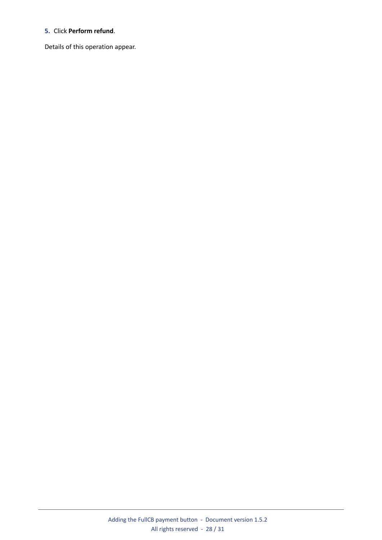#### **5.** Click **Perform refund**.

Details of this operation appear.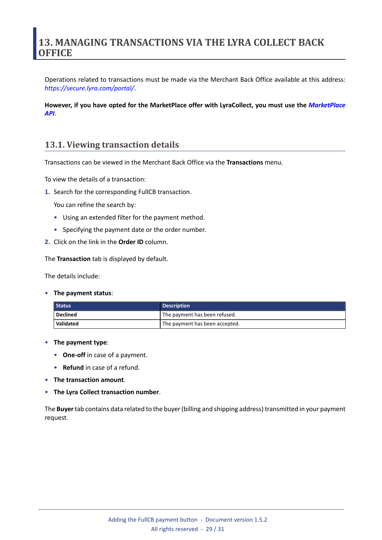## <span id="page-28-0"></span>**13. MANAGING TRANSACTIONS VIA THE LYRA COLLECT BACK OFFICE**

Operations related to transactions must be made via the Merchant Back Office available at this address: *<https://secure.lyra.com/portal/>*.

**However, if you have opted for the MarketPlace offer with LyraCollect, you must use the** *[MarketPlace](https://docs.lyra.com/en/collect/marketplace/marketplace-webservices-REST/sitemap.html) [API](https://docs.lyra.com/en/collect/marketplace/marketplace-webservices-REST/sitemap.html)*.

### <span id="page-28-1"></span>**13.1. Viewing transaction details**

Transactions can be viewed in the Merchant Back Office via the **Transactions** menu.

To view the details of a transaction:

**1.** Search for the corresponding FullCB transaction.

You can refine the search by:

- Using an extended filter for the payment method.
- Specifying the payment date or the order number.
- **2.** Click on the link in the **Order ID** column.

The **Transaction** tab is displayed by default.

The details include:

• **The payment status**:

| Status    | <b>Description</b>             |  |  |  |  |
|-----------|--------------------------------|--|--|--|--|
| Declined  | The payment has been refused.  |  |  |  |  |
| Validated | The payment has been accepted. |  |  |  |  |

- **The payment type**:
	- **One-off** in case of a payment.
	- **Refund** in case of a refund.
- **The transaction amount**.
- **The Lyra Collect transaction number**.

The **Buyer**tab contains data related to the buyer(billing and shipping address) transmitted in your payment request.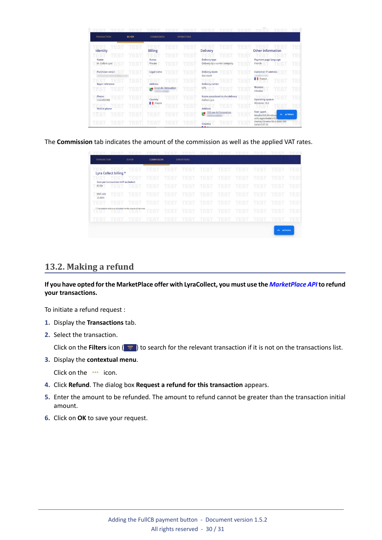| <b>TRANSACTION</b>            | <b>BUYER</b> | <b>COMMISSION</b>                  | <b>OPERATIONS</b> |                                                                   |             |                                                                               |      |
|-------------------------------|--------------|------------------------------------|-------------------|-------------------------------------------------------------------|-------------|-------------------------------------------------------------------------------|------|
| <b>TES</b><br>Identity        | <b>EST</b>   | TEST<br><b>Billing</b>             | TEST              | TEST<br><b>Delivery</b>                                           | TES         | <b>Other information</b>                                                      | TE S |
| <b>TEST</b><br>ES<br>Name     | TES:         | TEST<br>TES:<br><b>Status</b>      | TES               | TEST<br>TES<br><b>Delivery type</b>                               | TES         | Payment page language                                                         | TE:  |
| M. Collect Lyra<br>EST        | <b>TES</b>   | TEST<br>Private                    | <b>TES</b>        | Delivery by a carrier company                                     | TES         | French<br>TEST                                                                | TES  |
| Purchaser email               | <b>TES</b>   | <b>EST</b><br>Legal name           | <b>TES</b>        | <b>Delivery mode</b><br>'EST<br>Standard                          | TES         | <b>Customer IP address</b><br>ES                                              | TЕ   |
| EST<br><b>Buver reference</b> | <b>TES</b>   | TEST<br>ES<br><b>Address</b>       | TES               | EST<br><b>Delivery carrier</b>                                    | TES         | <b>France</b><br><b>TES</b>                                                   | TE.  |
| <b>TES</b><br><b>TEST</b>     | <b>TES</b>   | 8 rue de l'innovation<br>R         | TES<br>707        | UPS<br><b>EST</b>                                                 | <b>TEST</b> | <b>Browser</b><br><b>TEST</b><br>Chrome                                       | TE:  |
| Phone<br>EST<br>456789        | <b>TEST</b>  | <b>TEST</b><br>Country             | <b>TES</b>        | Name associated to the delivery<br>11. LOT<br><b>Collect Lyra</b> | 'EST        | EST<br><b>Operating system</b>                                                | TE:  |
| <b>EST</b><br>Mobile phone    | <b>TES</b>   | <b>France</b><br><b>TEST</b><br>ES | <b>TES</b>        | <b>TEST</b><br>Address                                            | TESI        | Windows 10.0<br>ΈS.<br>1 E D                                                  | ТE   |
| TĖS<br><b>TES</b>             | <b>TES</b>   | <b>TEST</b><br>TEST                | TES               | 109 rue de l'innovation<br>A                                      | <b>TEST</b> | User agent<br>$\wedge$ ACTIONS<br>Mozilla/5.0 (Windows<br>x64) AppleWebKit/53 |      |
| TES<br>TES                    | TES          | <b>TEST</b><br>TEST                | TES               | Е<br>Country<br>---                                               | TES         | Gecko) Chrome/86.0.4240.183<br>Safari/537.36                                  |      |

The **Commission** tab indicates the amount of the commission as well as the applied VAT rates.

| <b>TRANSACTION</b> |                                     | <b>BUYER</b>                                                  | <b>COMMISSION</b> |             | <b>OPERATIONS</b> |             |             |             |             |                          |            |
|--------------------|-------------------------------------|---------------------------------------------------------------|-------------------|-------------|-------------------|-------------|-------------|-------------|-------------|--------------------------|------------|
|                    | Lyra Collect billing *              | <b>TEST</b>                                                   | EST               | TEST        | <b>TEST</b>       | <b>TEST</b> | TEST        | <b>TEST</b> | TEST        | <b>TEST</b>              | <b>TES</b> |
|                    |                                     | <b>EST</b>                                                    | <b>TEST</b>       | TEST        | <b>TEST</b>       | TEST        | TEST        | <b>TEST</b> | <b>TEST</b> | <b>TEST</b>              | <b>TES</b> |
|                    | Cost per transaction (VAT excluded) |                                                               |                   |             |                   |             |             |             |             |                          |            |
| €0.50              | TES                                 | TEST                                                          | <b>TEST</b>       | <b>TEST</b> | <b>TEST</b>       | <b>TEST</b> | <b>TEST</b> | <b>TEST</b> | <b>TEST</b> | <b>TEST</b>              | <b>TES</b> |
| VAT rate<br>20.00% | <b>TEST</b>                         | <b>TEST</b>                                                   | TEST              | TEST        | <b>TEST</b>       | <b>TEST</b> | TEST        | <b>TEST</b> | <b>TEST</b> | <b>TEST</b>              | <b>TES</b> |
| <b>TEST</b>        | <b>TEST</b>                         | <b>TEST</b>                                                   | <b>TEST</b>       | <b>TEST</b> | <b>TEST</b>       | <b>TEST</b> | <b>TEST</b> | <b>TEST</b> | <b>TEST</b> | <b>TEST</b>              | <b>TES</b> |
| 1 E D              | I E DI                              | * Transaction costs are collected via the invoice of services | <b>TEST</b>       | <b>TEST</b> | <b>TES</b>        | TEST        | TEST        | <b>TES</b>  | TEST        | <b>TEST</b>              | <b>TES</b> |
| <b>TES</b>         | <b>TES</b>                          | <b>TEST</b>                                                   | ΈS.               | <b>TES</b>  | TEST              | <b>EST</b>  | <b>TES</b>  | <b>TES</b>  | <b>TEST</b> | <b>TEST</b>              | <b>TES</b> |
|                    |                                     |                                                               |                   |             |                   |             |             |             |             | <b>ACTIONS</b><br>$\sim$ |            |

### <span id="page-29-0"></span>**13.2. Making a refund**

**If you have opted forthe MarketPlace offer with LyraCollect, you must use the** *[MarketPlace](https://docs.lyra.com/fr/collect/marketplace/marketplace-webservices-REST/rembourser-un-paiement.html) API***to refund your transactions.**

To initiate a refund request :

- **1.** Display the **Transactions** tab.
- **2.** Select the transaction.

Click on the **Filters** icon ( $\equiv$ ) to search for the relevant transaction if it is not on the transactions list.

**3.** Display the **contextual menu**.

Click on the **...** icon.

- **4.** Click **Refund**. The dialog box **Request a refund for this transaction** appears.
- **5.** Enter the amount to be refunded. The amount to refund cannot be greater than the transaction initial amount.
- **6.** Click on **OK** to save your request.